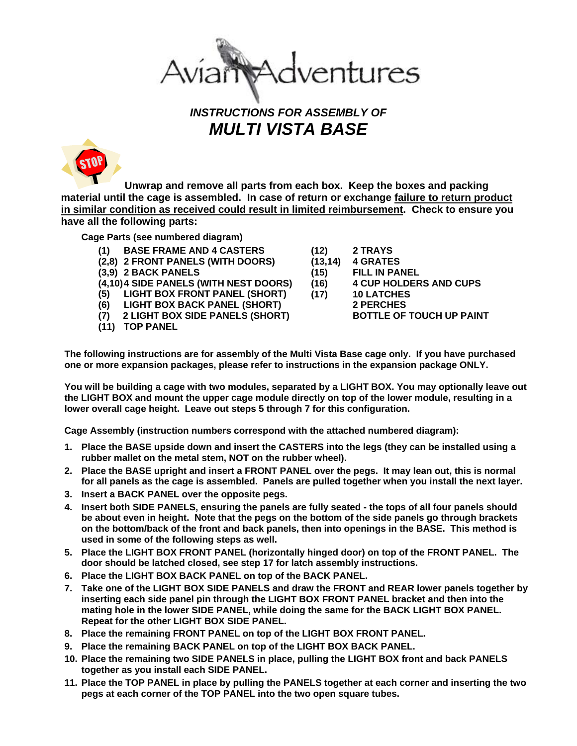ventures

## *INSTRUCTIONS FOR ASSEMBLY OF MULTI VISTA BASE*

 **Unwrap and remove all parts from each box. Keep the boxes and packing material until the cage is assembled. In case of return or exchange failure to return product in similar condition as received could result in limited reimbursement. Check to ensure you have all the following parts:**

**Cage Parts (see numbered diagram)** 

- **(1) BASE FRAME AND 4 CASTERS**
- **(2,8) 2 FRONT PANELS (WITH DOORS)**
- **(3,9) 2 BACK PANELS**

**(4,10) 4 SIDE PANELS (WITH NEST DOORS)** 

**(5) LIGHT BOX FRONT PANEL (SHORT)** 

- **(6) LIGHT BOX BACK PANEL (SHORT)**
- **(7) 2 LIGHT BOX SIDE PANELS (SHORT)**
- **(11) TOP PANEL**

**(12) 2 TRAYS** 

- **(13,14) 4 GRATES**
- **(15) FILL IN PANEL**
- **(16) 4 CUP HOLDERS AND CUPS**
- **(17) 10 LATCHES** 
	- **2 PERCHES** 
		- **BOTTLE OF TOUCH UP PAINT**

**The following instructions are for assembly of the Multi Vista Base cage only. If you have purchased one or more expansion packages, please refer to instructions in the expansion package ONLY.** 

**You will be building a cage with two modules, separated by a LIGHT BOX. You may optionally leave out the LIGHT BOX and mount the upper cage module directly on top of the lower module, resulting in a lower overall cage height. Leave out steps 5 through 7 for this configuration.** 

**Cage Assembly (instruction numbers correspond with the attached numbered diagram):** 

- **1. Place the BASE upside down and insert the CASTERS into the legs (they can be installed using a rubber mallet on the metal stem, NOT on the rubber wheel).**
- **2. Place the BASE upright and insert a FRONT PANEL over the pegs. It may lean out, this is normal for all panels as the cage is assembled. Panels are pulled together when you install the next layer.**
- **3. Insert a BACK PANEL over the opposite pegs.**
- **4. Insert both SIDE PANELS, ensuring the panels are fully seated the tops of all four panels should be about even in height. Note that the pegs on the bottom of the side panels go through brackets on the bottom/back of the front and back panels, then into openings in the BASE. This method is used in some of the following steps as well.**
- **5. Place the LIGHT BOX FRONT PANEL (horizontally hinged door) on top of the FRONT PANEL. The door should be latched closed, see step 17 for latch assembly instructions.**
- **6. Place the LIGHT BOX BACK PANEL on top of the BACK PANEL.**
- **7. Take one of the LIGHT BOX SIDE PANELS and draw the FRONT and REAR lower panels together by inserting each side panel pin through the LIGHT BOX FRONT PANEL bracket and then into the mating hole in the lower SIDE PANEL, while doing the same for the BACK LIGHT BOX PANEL. Repeat for the other LIGHT BOX SIDE PANEL.**
- **8. Place the remaining FRONT PANEL on top of the LIGHT BOX FRONT PANEL.**
- **9. Place the remaining BACK PANEL on top of the LIGHT BOX BACK PANEL.**
- **10. Place the remaining two SIDE PANELS in place, pulling the LIGHT BOX front and back PANELS together as you install each SIDE PANEL.**
- **11. Place the TOP PANEL in place by pulling the PANELS together at each corner and inserting the two pegs at each corner of the TOP PANEL into the two open square tubes.**